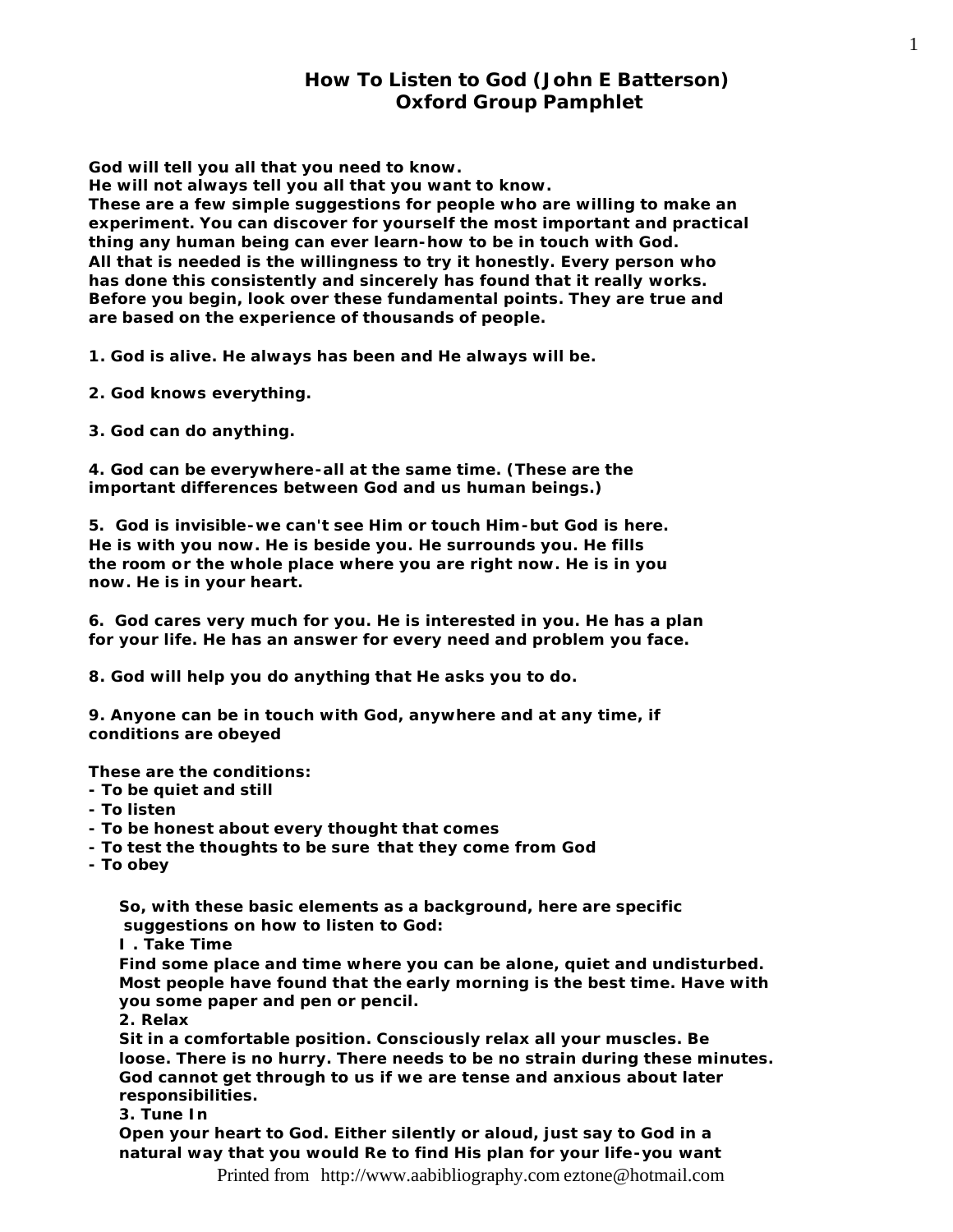# **How To Listen to God (John E Batterson) Oxford Group Pamphlet**

**God will tell you all that you need to know.**

**He will not always tell you all that you want to know.**

**These are a few simple suggestions for people who are willing to make an experiment. You can discover for yourself the most important and practical thing any human being can ever learn-how to be in touch with God. All that is needed is the willingness to try it honestly. Every person who has done this consistently and sincerely has found that it really works. Before you begin, look over these fundamental points. They are true and are based on the experience of thousands of people.**

**1. God is alive. He always has been and He always will be.**

- **2. God knows everything.**
- **3. God can do anything.**

**4. God can be everywhere-all at the same time. (These are the important differences between God and us human beings.)**

**5. God is invisible-we can't see Him or touch Him-but God is here. He is with you now. He is beside you. He surrounds you. He fills the room or the whole place where you are right now. He is in you now. He is in your heart.**

**6. God cares very much for you. He is interested in you. He has a plan for your life. He has an answer for every need and problem you face.**

**8. God will help you do anything that He asks you to do.**

**9. Anyone can be in touch with God, anywhere and at any time, if conditions are obeyed**

**These are the conditions:**

**- To be quiet and still**

**- To listen**

- **To be honest about every thought that comes**
- **To test the thoughts to be sure that they come from God**
- **To obey**

**So, with these basic elements as a background, here are specific suggestions on how to listen to God:**

**I . Take Time**

**Find some place and time where you can be alone, quiet and undisturbed. Most people have found that the early morning is the best time. Have with you some paper and pen or pencil.**

**2. Relax**

**Sit in a comfortable position. Consciously relax all your muscles. Be loose. There is no hurry. There needs to be no strain during these minutes. God cannot get through to us if we are tense and anxious about later responsibilities.**

**3. Tune In**

**Open your heart to God. Either silently or aloud, just say to God in a natural way that you would Re to find His plan for your life-you want**

Printed from http://www.aabibliography.com eztone@hotmail.com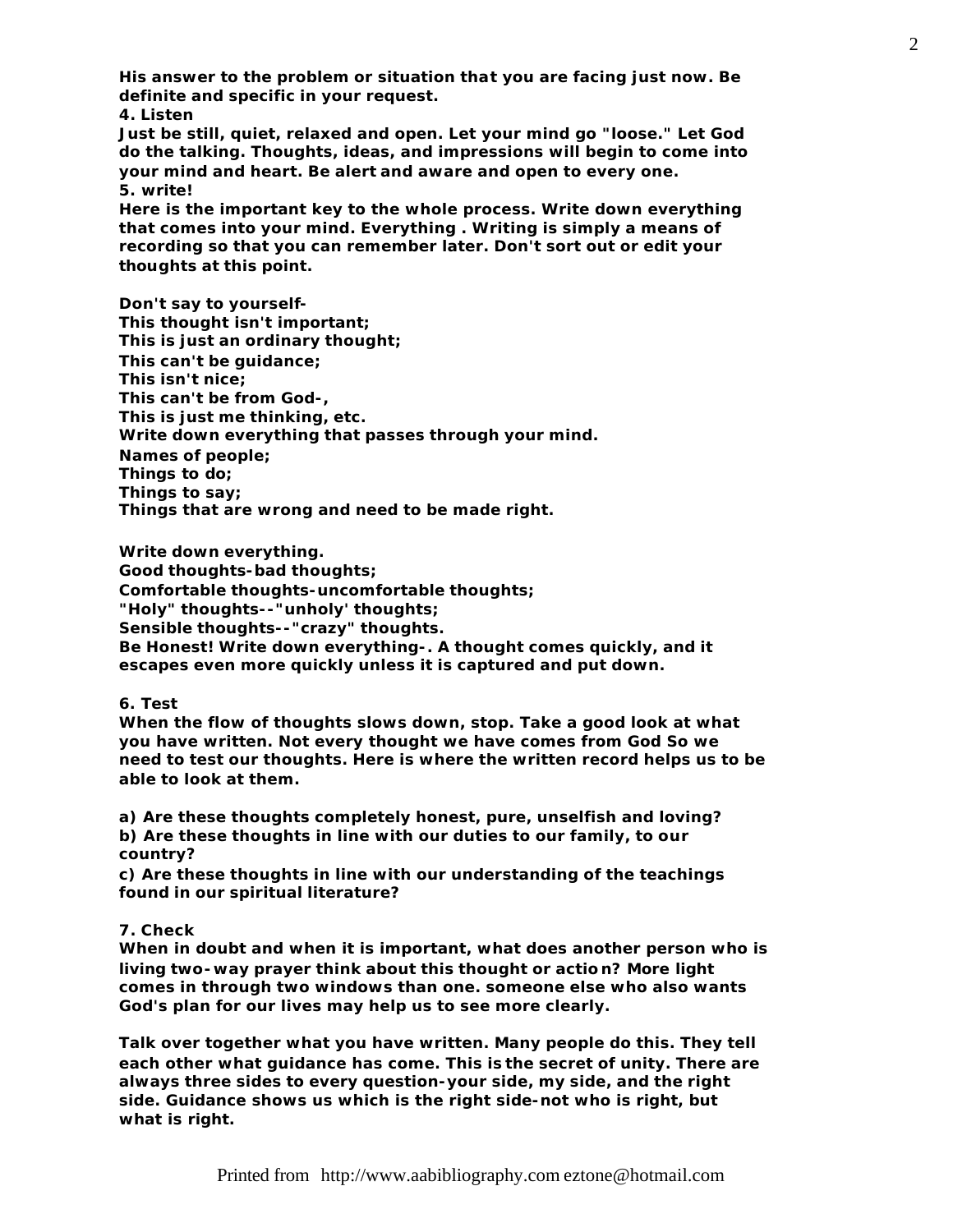**His answer to the problem or situation that you are facing just now. Be definite and specific in your request.**

**4. Listen**

**Just be still, quiet, relaxed and open. Let your mind go "loose." Let God do the talking. Thoughts, ideas, and impressions will begin to come into your mind and heart. Be alert and aware and open to every one. 5. write!**

**Here is the important key to the whole process. Write down everything that comes into your mind. Everything . Writing is simply a means of recording so that you can remember later. Don't sort out or edit your thoughts at this point.**

**Don't say to yourself-This thought isn't important; This is just an ordinary thought; This can't be guidance; This isn't nice; This can't be from God-, This is just me thinking, etc. Write down everything that passes through your mind. Names of people; Things to do; Things to say; Things that are wrong and need to be made right.**

**Write down everything.**

**Good thoughts-bad thoughts;**

**Comfortable thoughts-uncomfortable thoughts;**

**"Holy" thoughts--"unholy' thoughts;**

**Sensible thoughts--"crazy" thoughts.**

**Be Honest! Write down everything-. A thought comes quickly, and it escapes even more quickly unless it is captured and put down.**

### **6. Test**

**When the flow of thoughts slows down, stop. Take a good look at what you have written. Not every thought we have comes from God So we need to test our thoughts. Here is where the written record helps us to be able to look at them.**

**a) Are these thoughts completely honest, pure, unselfish and loving? b) Are these thoughts in line with our duties to our family, to our country?**

**c) Are these thoughts in line with our understanding of the teachings found in our spiritual literature?**

**7. Check**

**When in doubt and when it is important, what does another person who is living two-way prayer think about this thought or actio n? More light comes in through two windows than one. someone else who also wants God's plan for our lives may help us to see more clearly.**

**Talk over together what you have written. Many people do this. They tell each other what guidance has come. This is the secret of unity. There are always three sides to every question-your side, my side, and the right side. Guidance shows us which is the right side-not who is right, but what is right.**